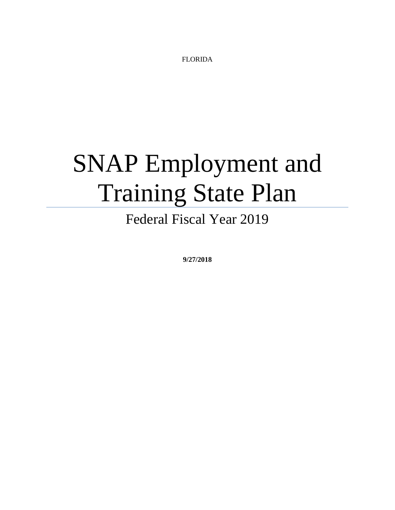FLORIDA

# SNAP Employment and Training State Plan

Federal Fiscal Year 2019

**9/27/2018**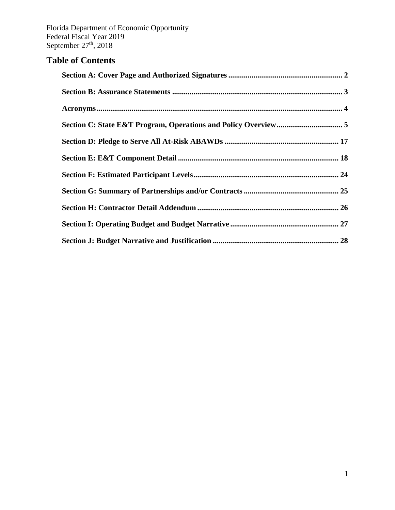## **Table of Contents**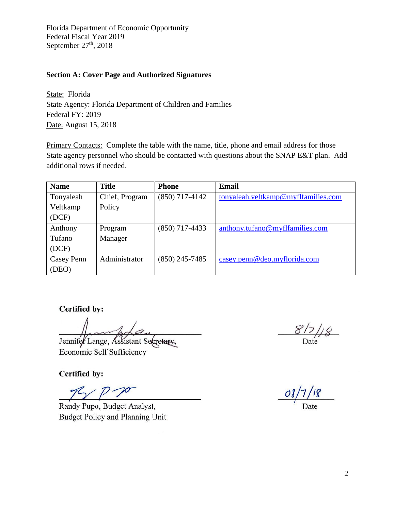#### <span id="page-2-0"></span>**Section A: Cover Page and Authorized Signatures**

State: Florida State Agency: Florida Department of Children and Families Federal FY: 2019 Date: August 15, 2018

Primary Contacts: Complete the table with the name, title, phone and email address for those State agency personnel who should be contacted with questions about the SNAP E&T plan. Add additional rows if needed.

| <b>Name</b>       | <b>Title</b>   | <b>Phone</b>     | Email                               |
|-------------------|----------------|------------------|-------------------------------------|
| Tonyaleah         | Chief, Program | $(850)$ 717-4142 | tonyaleah.veltkamp@myflfamilies.com |
| Veltkamp          | Policy         |                  |                                     |
| (DCF)             |                |                  |                                     |
| Anthony           | Program        | $(850)$ 717-4433 | anthony.tufano@myflfamilies.com     |
| Tufano            | Manager        |                  |                                     |
| (DCF)             |                |                  |                                     |
| <b>Casey Penn</b> | Administrator  | $(850)$ 245-7485 | casey.penn@deo.myflorida.com        |
| (DEO)             |                |                  |                                     |

**Certified by:** 

Jennifer Lange, Assistant Secretary,

Economic Self Sufficiency

Certified by:

Randy Pupo, Budget Analyst, Budget Policy and Planning Unit

 $08/7/18$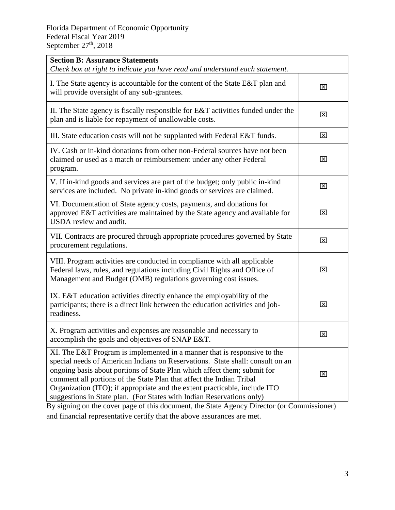| <b>Section B: Assurance Statements</b><br>Check box at right to indicate you have read and understand each statement.                                                                                                                                                                                                                                                                                                                                                |                         |
|----------------------------------------------------------------------------------------------------------------------------------------------------------------------------------------------------------------------------------------------------------------------------------------------------------------------------------------------------------------------------------------------------------------------------------------------------------------------|-------------------------|
| I. The State agency is accountable for the content of the State E&T plan and<br>will provide oversight of any sub-grantees.                                                                                                                                                                                                                                                                                                                                          | $\overline{\mathsf{x}}$ |
| II. The State agency is fiscally responsible for $E&T$ activities funded under the<br>plan and is liable for repayment of unallowable costs.                                                                                                                                                                                                                                                                                                                         | ⊠                       |
| III. State education costs will not be supplanted with Federal E&T funds.                                                                                                                                                                                                                                                                                                                                                                                            | $\boxtimes$             |
| IV. Cash or in-kind donations from other non-Federal sources have not been<br>claimed or used as a match or reimbursement under any other Federal<br>program.                                                                                                                                                                                                                                                                                                        | $\mathbf{\overline{X}}$ |
| V. If in-kind goods and services are part of the budget; only public in-kind<br>services are included. No private in-kind goods or services are claimed.                                                                                                                                                                                                                                                                                                             | $\mathbf{\overline{X}}$ |
| VI. Documentation of State agency costs, payments, and donations for<br>approved E&T activities are maintained by the State agency and available for<br>USDA review and audit.                                                                                                                                                                                                                                                                                       | ⊠                       |
| VII. Contracts are procured through appropriate procedures governed by State<br>procurement regulations.                                                                                                                                                                                                                                                                                                                                                             | $\boxtimes$             |
| VIII. Program activities are conducted in compliance with all applicable<br>Federal laws, rules, and regulations including Civil Rights and Office of<br>Management and Budget (OMB) regulations governing cost issues.                                                                                                                                                                                                                                              | ⊠                       |
| IX. E&T education activities directly enhance the employability of the<br>participants; there is a direct link between the education activities and job-<br>readiness.                                                                                                                                                                                                                                                                                               | ⊠                       |
| X. Program activities and expenses are reasonable and necessary to<br>accomplish the goals and objectives of SNAP E&T.                                                                                                                                                                                                                                                                                                                                               | ⊠                       |
| XI. The E&T Program is implemented in a manner that is responsive to the<br>special needs of American Indians on Reservations. State shall: consult on an<br>ongoing basis about portions of State Plan which affect them; submit for<br>comment all portions of the State Plan that affect the Indian Tribal<br>Organization (ITO); if appropriate and the extent practicable, include ITO<br>suggestions in State plan. (For States with Indian Reservations only) | 区                       |

By signing on the cover page of this document, the State Agency Director (or Commissioner) and financial representative certify that the above assurances are met.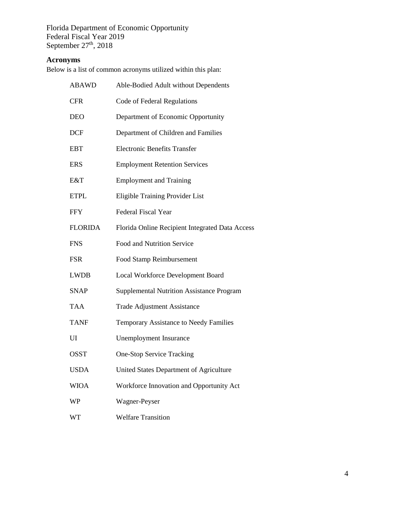#### <span id="page-4-0"></span>**Acronyms**

Below is a list of common acronyms utilized within this plan:

| <b>ABAWD</b>   | Able-Bodied Adult without Dependents             |
|----------------|--------------------------------------------------|
| <b>CFR</b>     | Code of Federal Regulations                      |
| <b>DEO</b>     | Department of Economic Opportunity               |
| <b>DCF</b>     | Department of Children and Families              |
| <b>EBT</b>     | <b>Electronic Benefits Transfer</b>              |
| <b>ERS</b>     | <b>Employment Retention Services</b>             |
| E&T            | <b>Employment and Training</b>                   |
| <b>ETPL</b>    | Eligible Training Provider List                  |
| <b>FFY</b>     | <b>Federal Fiscal Year</b>                       |
| <b>FLORIDA</b> | Florida Online Recipient Integrated Data Access  |
| <b>FNS</b>     | Food and Nutrition Service                       |
| <b>FSR</b>     | Food Stamp Reimbursement                         |
| <b>LWDB</b>    | Local Workforce Development Board                |
| <b>SNAP</b>    | <b>Supplemental Nutrition Assistance Program</b> |
| <b>TAA</b>     | <b>Trade Adjustment Assistance</b>               |
| <b>TANF</b>    | Temporary Assistance to Needy Families           |
| UI             | <b>Unemployment Insurance</b>                    |
| <b>OSST</b>    | <b>One-Stop Service Tracking</b>                 |
| <b>USDA</b>    | United States Department of Agriculture          |
| <b>WIOA</b>    | Workforce Innovation and Opportunity Act         |
| <b>WP</b>      | Wagner-Peyser                                    |
| <b>WT</b>      | <b>Welfare Transition</b>                        |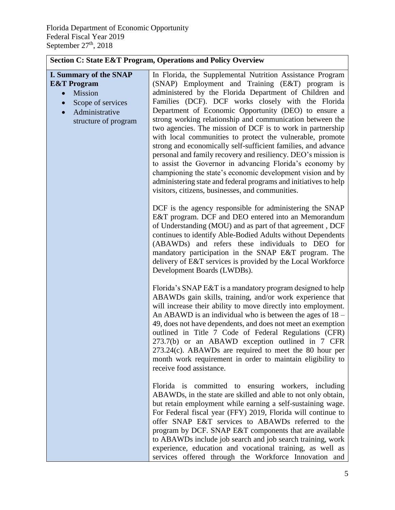<span id="page-5-0"></span>

| <b>Section C: State E&amp;T Program, Operations and Policy Overview</b>                                                                        |                                                                                                                                                                                                                                                                                                                                                                                                                                                                                                                                                                                                                                                                                                                                                                                                                                                                  |  |
|------------------------------------------------------------------------------------------------------------------------------------------------|------------------------------------------------------------------------------------------------------------------------------------------------------------------------------------------------------------------------------------------------------------------------------------------------------------------------------------------------------------------------------------------------------------------------------------------------------------------------------------------------------------------------------------------------------------------------------------------------------------------------------------------------------------------------------------------------------------------------------------------------------------------------------------------------------------------------------------------------------------------|--|
| <b>I. Summary of the SNAP</b><br><b>E&amp;T</b> Program<br>Mission<br>Scope of services<br>Administrative<br>$\bullet$<br>structure of program | In Florida, the Supplemental Nutrition Assistance Program<br>(SNAP) Employment and Training (E&T) program is<br>administered by the Florida Department of Children and<br>Families (DCF). DCF works closely with the Florida<br>Department of Economic Opportunity (DEO) to ensure a<br>strong working relationship and communication between the<br>two agencies. The mission of DCF is to work in partnership<br>with local communities to protect the vulnerable, promote<br>strong and economically self-sufficient families, and advance<br>personal and family recovery and resiliency. DEO's mission is<br>to assist the Governor in advancing Florida's economy by<br>championing the state's economic development vision and by<br>administering state and federal programs and initiatives to help<br>visitors, citizens, businesses, and communities. |  |
|                                                                                                                                                | DCF is the agency responsible for administering the SNAP<br>E&T program. DCF and DEO entered into an Memorandum<br>of Understanding (MOU) and as part of that agreement, DCF<br>continues to identify Able-Bodied Adults without Dependents<br>(ABAWDs) and refers these individuals to DEO for<br>mandatory participation in the SNAP E&T program. The<br>delivery of E&T services is provided by the Local Workforce<br>Development Boards (LWDBs).                                                                                                                                                                                                                                                                                                                                                                                                            |  |
|                                                                                                                                                | Florida's SNAP E&T is a mandatory program designed to help<br>ABAWDs gain skills, training, and/or work experience that<br>will increase their ability to move directly into employment.<br>An ABAWD is an individual who is between the ages of $18 -$<br>49, does not have dependents, and does not meet an exemption<br>outlined in Title 7 Code of Federal Regulations (CFR)<br>273.7(b) or an ABAWD exception outlined in 7 CFR<br>$273.24(c)$ . ABAWDs are required to meet the 80 hour per<br>month work requirement in order to maintain eligibility to<br>receive food assistance.                                                                                                                                                                                                                                                                      |  |
|                                                                                                                                                | Florida is committed to ensuring workers, including<br>ABAWDs, in the state are skilled and able to not only obtain,<br>but retain employment while earning a self-sustaining wage.<br>For Federal fiscal year (FFY) 2019, Florida will continue to<br>offer SNAP E&T services to ABAWDs referred to the<br>program by DCF. SNAP E&T components that are available<br>to ABAWDs include job search and job search training, work<br>experience, education and vocational training, as well as<br>services offered through the Workforce Innovation and                                                                                                                                                                                                                                                                                                           |  |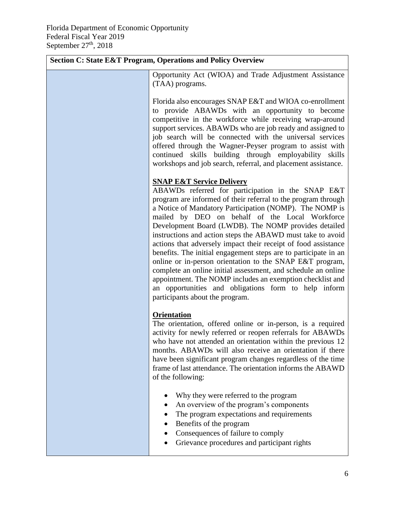| <b>Section C: State E&amp;T Program, Operations and Policy Overview</b>                                                                                                                                                                                                                                                                                                                                                                                                                                                                                                                                                                                                                                                                                                                                                 |  |  |
|-------------------------------------------------------------------------------------------------------------------------------------------------------------------------------------------------------------------------------------------------------------------------------------------------------------------------------------------------------------------------------------------------------------------------------------------------------------------------------------------------------------------------------------------------------------------------------------------------------------------------------------------------------------------------------------------------------------------------------------------------------------------------------------------------------------------------|--|--|
| Opportunity Act (WIOA) and Trade Adjustment Assistance<br>(TAA) programs.                                                                                                                                                                                                                                                                                                                                                                                                                                                                                                                                                                                                                                                                                                                                               |  |  |
| Florida also encourages SNAP E&T and WIOA co-enrollment<br>to provide ABAWDs with an opportunity to become<br>competitive in the workforce while receiving wrap-around<br>support services. ABAWDs who are job ready and assigned to<br>job search will be connected with the universal services<br>offered through the Wagner-Peyser program to assist with<br>continued skills building through employability skills<br>workshops and job search, referral, and placement assistance.                                                                                                                                                                                                                                                                                                                                 |  |  |
| <b>SNAP E&amp;T Service Delivery</b><br>ABAWDs referred for participation in the SNAP E&T<br>program are informed of their referral to the program through<br>a Notice of Mandatory Participation (NOMP). The NOMP is<br>mailed by DEO on behalf of the Local Workforce<br>Development Board (LWDB). The NOMP provides detailed<br>instructions and action steps the ABAWD must take to avoid<br>actions that adversely impact their receipt of food assistance<br>benefits. The initial engagement steps are to participate in an<br>online or in-person orientation to the SNAP E&T program,<br>complete an online initial assessment, and schedule an online<br>appointment. The NOMP includes an exemption checklist and<br>an opportunities and obligations form to help inform<br>participants about the program. |  |  |
| <b>Orientation</b><br>The orientation, offered online or in-person, is a required<br>activity for newly referred or reopen referrals for ABAWDs<br>who have not attended an orientation within the previous 12<br>months. ABAWDs will also receive an orientation if there<br>have been significant program changes regardless of the time<br>frame of last attendance. The orientation informs the ABAWD<br>of the following:                                                                                                                                                                                                                                                                                                                                                                                          |  |  |
| Why they were referred to the program<br>An overview of the program's components<br>The program expectations and requirements<br>Benefits of the program<br>Consequences of failure to comply<br>Grievance procedures and participant rights                                                                                                                                                                                                                                                                                                                                                                                                                                                                                                                                                                            |  |  |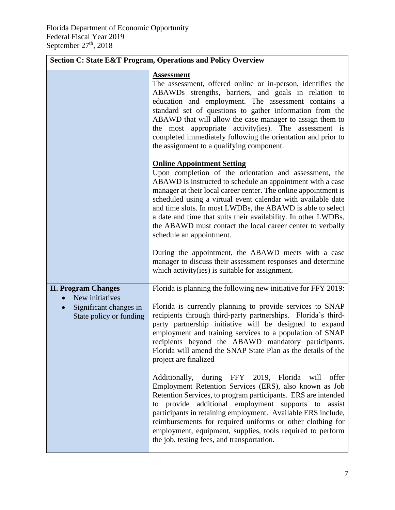| <b>Section C: State E&amp;T Program, Operations and Policy Overview</b>                                         |                                                                                                                                                                                                                                                                                                                                                                                                                                                                                                                                                                                                                                                                                                 |  |
|-----------------------------------------------------------------------------------------------------------------|-------------------------------------------------------------------------------------------------------------------------------------------------------------------------------------------------------------------------------------------------------------------------------------------------------------------------------------------------------------------------------------------------------------------------------------------------------------------------------------------------------------------------------------------------------------------------------------------------------------------------------------------------------------------------------------------------|--|
|                                                                                                                 | <b>Assessment</b><br>The assessment, offered online or in-person, identifies the<br>ABAWDs strengths, barriers, and goals in relation to<br>education and employment. The assessment contains a<br>standard set of questions to gather information from the<br>ABAWD that will allow the case manager to assign them to<br>the most appropriate activity(ies). The assessment is<br>completed immediately following the orientation and prior to<br>the assignment to a qualifying component.                                                                                                                                                                                                   |  |
|                                                                                                                 | <b>Online Appointment Setting</b><br>Upon completion of the orientation and assessment, the<br>ABAWD is instructed to schedule an appointment with a case<br>manager at their local career center. The online appointment is<br>scheduled using a virtual event calendar with available date<br>and time slots. In most LWDBs, the ABAWD is able to select<br>a date and time that suits their availability. In other LWDBs,<br>the ABAWD must contact the local career center to verbally<br>schedule an appointment.<br>During the appointment, the ABAWD meets with a case<br>manager to discuss their assessment responses and determine<br>which activity(ies) is suitable for assignment. |  |
| <b>II. Program Changes</b><br>New initiatives<br>Significant changes in<br>$\bullet$<br>State policy or funding | Florida is planning the following new initiative for FFY 2019:<br>Florida is currently planning to provide services to SNAP<br>recipients through third-party partnerships. Florida's third-<br>party partnership initiative will be designed to expand<br>employment and training services to a population of SNAP<br>recipients beyond the ABAWD mandatory participants.<br>Florida will amend the SNAP State Plan as the details of the<br>project are finalized                                                                                                                                                                                                                             |  |
|                                                                                                                 | Additionally, during FFY 2019, Florida will<br>offer<br>Employment Retention Services (ERS), also known as Job<br>Retention Services, to program participants. ERS are intended<br>to provide additional employment supports to<br>assist<br>participants in retaining employment. Available ERS include,<br>reimbursements for required uniforms or other clothing for<br>employment, equipment, supplies, tools required to perform<br>the job, testing fees, and transportation.                                                                                                                                                                                                             |  |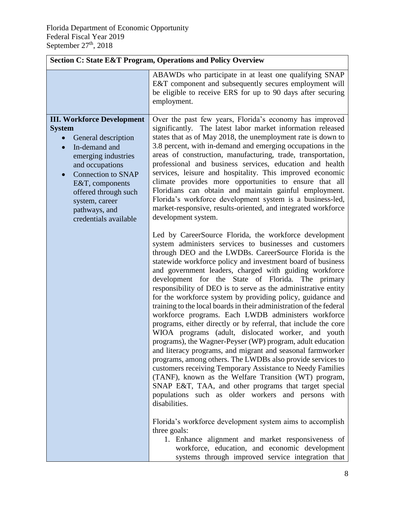| <b>Section C: State E&amp;T Program, Operations and Policy Overview</b>                                                                                                                                                                                                                            |                                                                                                                                                                                                                                                                                                                                                                                                                                                                                                                                                                                                                                                                                                                                                                                                                                                                                                                                                                                                                                                                                                                                                                                                                                                                                                                                                                                                                                            |  |
|----------------------------------------------------------------------------------------------------------------------------------------------------------------------------------------------------------------------------------------------------------------------------------------------------|--------------------------------------------------------------------------------------------------------------------------------------------------------------------------------------------------------------------------------------------------------------------------------------------------------------------------------------------------------------------------------------------------------------------------------------------------------------------------------------------------------------------------------------------------------------------------------------------------------------------------------------------------------------------------------------------------------------------------------------------------------------------------------------------------------------------------------------------------------------------------------------------------------------------------------------------------------------------------------------------------------------------------------------------------------------------------------------------------------------------------------------------------------------------------------------------------------------------------------------------------------------------------------------------------------------------------------------------------------------------------------------------------------------------------------------------|--|
|                                                                                                                                                                                                                                                                                                    | ABAWDs who participate in at least one qualifying SNAP<br>E&T component and subsequently secures employment will<br>be eligible to receive ERS for up to 90 days after securing<br>employment.                                                                                                                                                                                                                                                                                                                                                                                                                                                                                                                                                                                                                                                                                                                                                                                                                                                                                                                                                                                                                                                                                                                                                                                                                                             |  |
| <b>III. Workforce Development</b><br><b>System</b><br>General description<br>In-demand and<br>$\bullet$<br>emerging industries<br>and occupations<br><b>Connection to SNAP</b><br>$\bullet$<br>E&T, components<br>offered through such<br>system, career<br>pathways, and<br>credentials available | Over the past few years, Florida's economy has improved<br>significantly. The latest labor market information released<br>states that as of May 2018, the unemployment rate is down to<br>3.8 percent, with in-demand and emerging occupations in the<br>areas of construction, manufacturing, trade, transportation,<br>professional and business services, education and health<br>services, leisure and hospitality. This improved economic<br>climate provides more opportunities to ensure that all<br>Floridians can obtain and maintain gainful employment.<br>Florida's workforce development system is a business-led,<br>market-responsive, results-oriented, and integrated workforce<br>development system.                                                                                                                                                                                                                                                                                                                                                                                                                                                                                                                                                                                                                                                                                                                    |  |
|                                                                                                                                                                                                                                                                                                    | Led by CareerSource Florida, the workforce development<br>system administers services to businesses and customers<br>through DEO and the LWDBs. CareerSource Florida is the<br>statewide workforce policy and investment board of business<br>and government leaders, charged with guiding workforce<br>development for the State of Florida. The primary<br>responsibility of DEO is to serve as the administrative entity<br>for the workforce system by providing policy, guidance and<br>training to the local boards in their administration of the federal<br>workforce programs. Each LWDB administers workforce<br>programs, either directly or by referral, that include the core<br>WIOA programs (adult, dislocated worker, and youth<br>programs), the Wagner-Peyser (WP) program, adult education<br>and literacy programs, and migrant and seasonal farmworker<br>programs, among others. The LWDBs also provide services to<br>customers receiving Temporary Assistance to Needy Families<br>(TANF), known as the Welfare Transition (WT) program,<br>SNAP E&T, TAA, and other programs that target special<br>populations such as older workers and persons with<br>disabilities.<br>Florida's workforce development system aims to accomplish<br>three goals:<br>1. Enhance alignment and market responsiveness of<br>workforce, education, and economic development<br>systems through improved service integration that |  |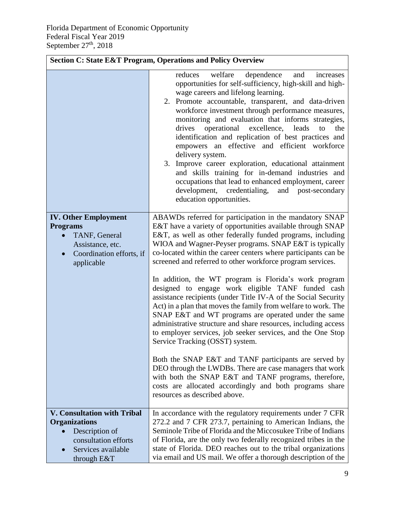| <b>Section C: State E&amp;T Program, Operations and Policy Overview</b>                                                                     |                                                                                                                                                                                                                                                                                                                                                                                                                                                                                                                                                                                                                                                                                                                                                                              |  |
|---------------------------------------------------------------------------------------------------------------------------------------------|------------------------------------------------------------------------------------------------------------------------------------------------------------------------------------------------------------------------------------------------------------------------------------------------------------------------------------------------------------------------------------------------------------------------------------------------------------------------------------------------------------------------------------------------------------------------------------------------------------------------------------------------------------------------------------------------------------------------------------------------------------------------------|--|
|                                                                                                                                             | welfare<br>reduces<br>dependence<br>and<br>increases<br>opportunities for self-sufficiency, high-skill and high-<br>wage careers and lifelong learning.<br>2. Promote accountable, transparent, and data-driven<br>workforce investment through performance measures,<br>monitoring and evaluation that informs strategies,<br>drives<br>operational<br>excellence,<br>leads<br>the<br>to<br>identification and replication of best practices and<br>empowers an effective and efficient workforce<br>delivery system.<br>3. Improve career exploration, educational attainment<br>and skills training for in-demand industries and<br>occupations that lead to enhanced employment, career<br>development, credentialing,<br>and post-secondary<br>education opportunities. |  |
| <b>IV. Other Employment</b><br><b>Programs</b><br>TANF, General<br>Assistance, etc.<br>Coordination efforts, if<br>applicable               | ABAWDs referred for participation in the mandatory SNAP<br>E&T have a variety of opportunities available through SNAP<br>E&T, as well as other federally funded programs, including<br>WIOA and Wagner-Peyser programs. SNAP E&T is typically<br>co-located within the career centers where participants can be<br>screened and referred to other workforce program services.<br>In addition, the WT program is Florida's work program                                                                                                                                                                                                                                                                                                                                       |  |
|                                                                                                                                             | designed to engage work eligible TANF funded cash<br>assistance recipients (under Title IV-A of the Social Security<br>Act) in a plan that moves the family from welfare to work. The<br>SNAP E&T and WT programs are operated under the same<br>administrative structure and share resources, including access<br>to employer services, job seeker services, and the One Stop<br>Service Tracking (OSST) system.                                                                                                                                                                                                                                                                                                                                                            |  |
|                                                                                                                                             | Both the SNAP E&T and TANF participants are served by<br>DEO through the LWDBs. There are case managers that work<br>with both the SNAP E&T and TANF programs, therefore,<br>costs are allocated accordingly and both programs share<br>resources as described above.                                                                                                                                                                                                                                                                                                                                                                                                                                                                                                        |  |
| <b>V. Consultation with Tribal</b><br><b>Organizations</b><br>Description of<br>consultation efforts<br>Services available<br>through $E&T$ | In accordance with the regulatory requirements under 7 CFR<br>272.2 and 7 CFR 273.7, pertaining to American Indians, the<br>Seminole Tribe of Florida and the Miccosukee Tribe of Indians<br>of Florida, are the only two federally recognized tribes in the<br>state of Florida. DEO reaches out to the tribal organizations<br>via email and US mail. We offer a thorough description of the                                                                                                                                                                                                                                                                                                                                                                               |  |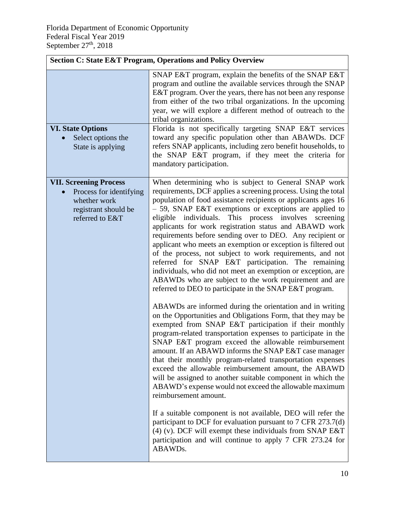| <b>Section C: State E&amp;T Program, Operations and Policy Overview</b>                                             |                                                                                                                                                                                                                                                                                                                                                                                                                                                                                                                                                                                                                                                                                                                                                                                                                                                                                                                                                                                                                                                                                                                                                                                                                                                                                                                                                                                                                                                                                                                                                                                                                                                                                                                                      |  |
|---------------------------------------------------------------------------------------------------------------------|--------------------------------------------------------------------------------------------------------------------------------------------------------------------------------------------------------------------------------------------------------------------------------------------------------------------------------------------------------------------------------------------------------------------------------------------------------------------------------------------------------------------------------------------------------------------------------------------------------------------------------------------------------------------------------------------------------------------------------------------------------------------------------------------------------------------------------------------------------------------------------------------------------------------------------------------------------------------------------------------------------------------------------------------------------------------------------------------------------------------------------------------------------------------------------------------------------------------------------------------------------------------------------------------------------------------------------------------------------------------------------------------------------------------------------------------------------------------------------------------------------------------------------------------------------------------------------------------------------------------------------------------------------------------------------------------------------------------------------------|--|
| <b>VI. State Options</b><br>Select options the                                                                      | SNAP E&T program, explain the benefits of the SNAP E&T<br>program and outline the available services through the SNAP<br>E&T program. Over the years, there has not been any response<br>from either of the two tribal organizations. In the upcoming<br>year, we will explore a different method of outreach to the<br>tribal organizations.<br>Florida is not specifically targeting SNAP E&T services<br>toward any specific population other than ABAWDs. DCF                                                                                                                                                                                                                                                                                                                                                                                                                                                                                                                                                                                                                                                                                                                                                                                                                                                                                                                                                                                                                                                                                                                                                                                                                                                                    |  |
| State is applying                                                                                                   | refers SNAP applicants, including zero benefit households, to<br>the SNAP E&T program, if they meet the criteria for<br>mandatory participation.                                                                                                                                                                                                                                                                                                                                                                                                                                                                                                                                                                                                                                                                                                                                                                                                                                                                                                                                                                                                                                                                                                                                                                                                                                                                                                                                                                                                                                                                                                                                                                                     |  |
| <b>VII. Screening Process</b><br>Process for identifying<br>whether work<br>registrant should be<br>referred to E&T | When determining who is subject to General SNAP work<br>requirements, DCF applies a screening process. Using the total<br>population of food assistance recipients or applicants ages 16<br>$-$ 59, SNAP E&T exemptions or exceptions are applied to<br>eligible individuals. This process involves<br>screening<br>applicants for work registration status and ABAWD work<br>requirements before sending over to DEO. Any recipient or<br>applicant who meets an exemption or exception is filtered out<br>of the process, not subject to work requirements, and not<br>referred for SNAP E&T participation. The remaining<br>individuals, who did not meet an exemption or exception, are<br>ABAWDs who are subject to the work requirement and are<br>referred to DEO to participate in the SNAP E&T program.<br>ABAWDs are informed during the orientation and in writing<br>on the Opportunities and Obligations Form, that they may be<br>exempted from SNAP E&T participation if their monthly<br>program-related transportation expenses to participate in the<br>SNAP E&T program exceed the allowable reimbursement<br>amount. If an ABAWD informs the SNAP E&T case manager<br>that their monthly program-related transportation expenses<br>exceed the allowable reimbursement amount, the ABAWD<br>will be assigned to another suitable component in which the<br>ABAWD's expense would not exceed the allowable maximum<br>reimbursement amount.<br>If a suitable component is not available, DEO will refer the<br>participant to DCF for evaluation pursuant to 7 CFR 273.7(d)<br>$(4)$ (v). DCF will exempt these individuals from SNAP E&T<br>participation and will continue to apply 7 CFR 273.24 for<br>ABAWDs. |  |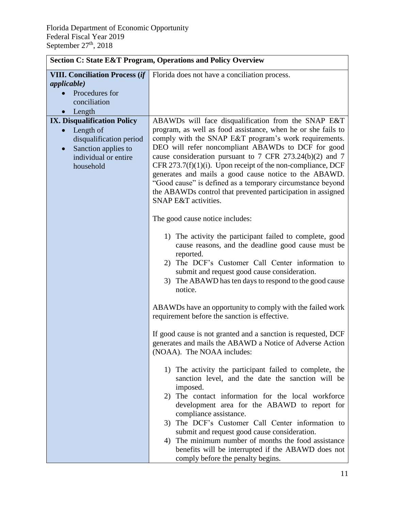| <b>Section C: State E&amp;T Program, Operations and Policy Overview</b>                                                                                                                 |                                                                                                                                                                                                                                                                                                                                                                                                                                                                                                                                                                             |  |
|-----------------------------------------------------------------------------------------------------------------------------------------------------------------------------------------|-----------------------------------------------------------------------------------------------------------------------------------------------------------------------------------------------------------------------------------------------------------------------------------------------------------------------------------------------------------------------------------------------------------------------------------------------------------------------------------------------------------------------------------------------------------------------------|--|
| <b>VIII. Conciliation Process (if</b><br><i>applicable</i> )<br>Procedures for<br>conciliation                                                                                          | Florida does not have a conciliation process.                                                                                                                                                                                                                                                                                                                                                                                                                                                                                                                               |  |
| Length<br>$\bullet$<br><b>IX. Disqualification Policy</b><br>Length of<br>$\bullet$<br>disqualification period<br>Sanction applies to<br>$\bullet$<br>individual or entire<br>household | ABAWDs will face disqualification from the SNAP E&T<br>program, as well as food assistance, when he or she fails to<br>comply with the SNAP E&T program's work requirements.<br>DEO will refer noncompliant ABAWDs to DCF for good<br>cause consideration pursuant to 7 CFR 273.24(b)(2) and 7<br>CFR 273.7(f)(1)(i). Upon receipt of the non-compliance, DCF<br>generates and mails a good cause notice to the ABAWD.<br>"Good cause" is defined as a temporary circumstance beyond<br>the ABAWDs control that prevented participation in assigned<br>SNAP E&T activities. |  |
|                                                                                                                                                                                         | The good cause notice includes:<br>1) The activity the participant failed to complete, good<br>cause reasons, and the deadline good cause must be<br>reported.<br>The DCF's Customer Call Center information to<br>2)<br>submit and request good cause consideration.<br>The ABAWD has ten days to respond to the good cause<br>3)<br>notice.                                                                                                                                                                                                                               |  |
|                                                                                                                                                                                         | ABAWDs have an opportunity to comply with the failed work<br>requirement before the sanction is effective.<br>If good cause is not granted and a sanction is requested, DCF<br>generates and mails the ABAWD a Notice of Adverse Action<br>(NOAA). The NOAA includes:                                                                                                                                                                                                                                                                                                       |  |
|                                                                                                                                                                                         | 1) The activity the participant failed to complete, the<br>sanction level, and the date the sanction will be<br>imposed.<br>The contact information for the local workforce<br>2)<br>development area for the ABAWD to report for<br>compliance assistance.<br>The DCF's Customer Call Center information to<br>3)<br>submit and request good cause consideration.<br>The minimum number of months the food assistance<br>4)<br>benefits will be interrupted if the ABAWD does not<br>comply before the penalty begins.                                                     |  |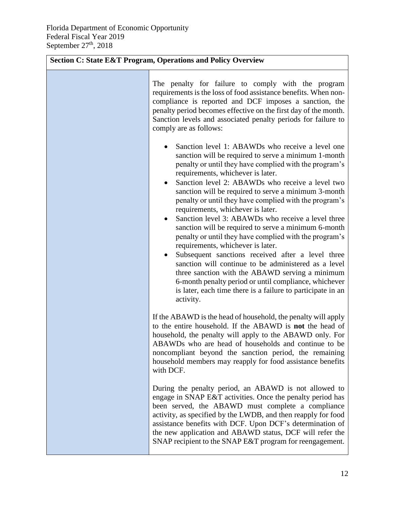| <b>Section C: State E&amp;T Program, Operations and Policy Overview</b> |                                                                                                                                                                                                                                                                                                                                                                                                                                                                                                                                                                                                                                                                                                                                                                                                                                                                                                                                                                             |  |
|-------------------------------------------------------------------------|-----------------------------------------------------------------------------------------------------------------------------------------------------------------------------------------------------------------------------------------------------------------------------------------------------------------------------------------------------------------------------------------------------------------------------------------------------------------------------------------------------------------------------------------------------------------------------------------------------------------------------------------------------------------------------------------------------------------------------------------------------------------------------------------------------------------------------------------------------------------------------------------------------------------------------------------------------------------------------|--|
|                                                                         | The penalty for failure to comply with the program<br>requirements is the loss of food assistance benefits. When non-<br>compliance is reported and DCF imposes a sanction, the<br>penalty period becomes effective on the first day of the month.<br>Sanction levels and associated penalty periods for failure to<br>comply are as follows:                                                                                                                                                                                                                                                                                                                                                                                                                                                                                                                                                                                                                               |  |
|                                                                         | Sanction level 1: ABAWDs who receive a level one<br>sanction will be required to serve a minimum 1-month<br>penalty or until they have complied with the program's<br>requirements, whichever is later.<br>Sanction level 2: ABAWDs who receive a level two<br>$\bullet$<br>sanction will be required to serve a minimum 3-month<br>penalty or until they have complied with the program's<br>requirements, whichever is later.<br>Sanction level 3: ABAWDs who receive a level three<br>$\bullet$<br>sanction will be required to serve a minimum 6-month<br>penalty or until they have complied with the program's<br>requirements, whichever is later.<br>Subsequent sanctions received after a level three<br>$\bullet$<br>sanction will continue to be administered as a level<br>three sanction with the ABAWD serving a minimum<br>6-month penalty period or until compliance, whichever<br>is later, each time there is a failure to participate in an<br>activity. |  |
|                                                                         | If the ABAWD is the head of household, the penalty will apply<br>to the entire household. If the ABAWD is not the head of<br>household, the penalty will apply to the ABAWD only. For<br>ABAWDs who are head of households and continue to be<br>noncompliant beyond the sanction period, the remaining<br>household members may reapply for food assistance benefits<br>with DCF.                                                                                                                                                                                                                                                                                                                                                                                                                                                                                                                                                                                          |  |
|                                                                         | During the penalty period, an ABAWD is not allowed to<br>engage in SNAP E&T activities. Once the penalty period has<br>been served, the ABAWD must complete a compliance<br>activity, as specified by the LWDB, and then reapply for food<br>assistance benefits with DCF. Upon DCF's determination of<br>the new application and ABAWD status, DCF will refer the<br>SNAP recipient to the SNAP E&T program for reengagement.                                                                                                                                                                                                                                                                                                                                                                                                                                                                                                                                              |  |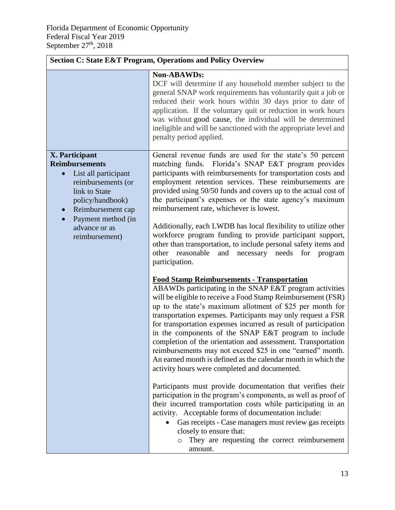| <b>Section C: State E&amp;T Program, Operations and Policy Overview</b>                                                                                                                                                                   |                                                                                                                                                                                                                                                                                                                                                                                                                                                                                                                                                                                                                                                                                                                  |  |  |  |
|-------------------------------------------------------------------------------------------------------------------------------------------------------------------------------------------------------------------------------------------|------------------------------------------------------------------------------------------------------------------------------------------------------------------------------------------------------------------------------------------------------------------------------------------------------------------------------------------------------------------------------------------------------------------------------------------------------------------------------------------------------------------------------------------------------------------------------------------------------------------------------------------------------------------------------------------------------------------|--|--|--|
|                                                                                                                                                                                                                                           | <b>Non-ABAWDs:</b><br>DCF will determine if any household member subject to the<br>general SNAP work requirements has voluntarily quit a job or<br>reduced their work hours within 30 days prior to date of<br>application. If the voluntary quit or reduction in work hours<br>was without good cause, the individual will be determined<br>ineligible and will be sanctioned with the appropriate level and<br>penalty period applied.                                                                                                                                                                                                                                                                         |  |  |  |
| <b>X.</b> Participant<br><b>Reimbursements</b><br>List all participant<br>$\bullet$<br>reimbursements (or<br>link to State<br>policy/handbook)<br>Reimbursement cap<br>$\bullet$<br>Payment method (in<br>advance or as<br>reimbursement) | General revenue funds are used for the state's 50 percent<br>matching funds. Florida's SNAP E&T program provides<br>participants with reimbursements for transportation costs and<br>employment retention services. These reimbursements are<br>provided using 50/50 funds and covers up to the actual cost of<br>the participant's expenses or the state agency's maximum<br>reimbursement rate, whichever is lowest.<br>Additionally, each LWDB has local flexibility to utilize other<br>workforce program funding to provide participant support,                                                                                                                                                            |  |  |  |
|                                                                                                                                                                                                                                           | other than transportation, to include personal safety items and<br>other reasonable<br>and necessary needs for<br>program<br>participation.<br><b>Food Stamp Reimbursements - Transportation</b><br>ABAWDs participating in the SNAP E&T program activities<br>will be eligible to receive a Food Stamp Reimbursement (FSR)<br>up to the state's maximum allotment of \$25 per month for<br>transportation expenses. Participants may only request a FSR<br>for transportation expenses incurred as result of participation<br>in the components of the SNAP E&T program to include<br>completion of the orientation and assessment. Transportation<br>reimbursements may not exceed \$25 in one "earned" month. |  |  |  |
|                                                                                                                                                                                                                                           | An earned month is defined as the calendar month in which the<br>activity hours were completed and documented.<br>Participants must provide documentation that verifies their<br>participation in the program's components, as well as proof of<br>their incurred transportation costs while participating in an<br>activity. Acceptable forms of documentation include:<br>Gas receipts - Case managers must review gas receipts<br>closely to ensure that:<br>They are requesting the correct reimbursement<br>$\circ$<br>amount.                                                                                                                                                                              |  |  |  |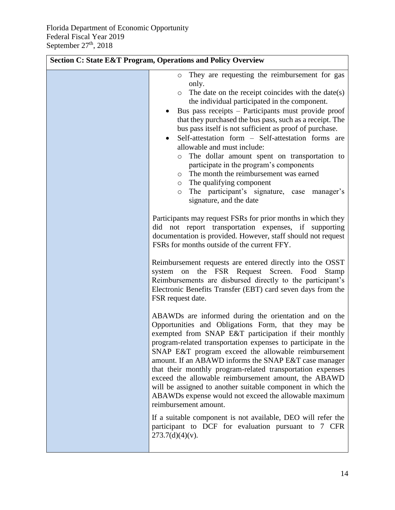| <b>Section C: State E&amp;T Program, Operations and Policy Overview</b> |                                                                                                                                                                                                                                                                                                                                                                                                                                                                                                                                                                                                                                                                                                                                                       |  |  |
|-------------------------------------------------------------------------|-------------------------------------------------------------------------------------------------------------------------------------------------------------------------------------------------------------------------------------------------------------------------------------------------------------------------------------------------------------------------------------------------------------------------------------------------------------------------------------------------------------------------------------------------------------------------------------------------------------------------------------------------------------------------------------------------------------------------------------------------------|--|--|
|                                                                         | They are requesting the reimbursement for gas<br>O<br>only.<br>The date on the receipt coincides with the date(s)<br>$\circ$<br>the individual participated in the component.<br>Bus pass receipts – Participants must provide proof<br>that they purchased the bus pass, such as a receipt. The<br>bus pass itself is not sufficient as proof of purchase.<br>Self-attestation form - Self-attestation forms are<br>$\bullet$<br>allowable and must include:<br>The dollar amount spent on transportation to<br>$\circ$<br>participate in the program's components<br>The month the reimbursement was earned<br>$\circ$<br>The qualifying component<br>O<br>The participant's signature, case<br>manager's<br>$\circ$<br>signature, and the date     |  |  |
|                                                                         | Participants may request FSRs for prior months in which they<br>did not report transportation expenses, if supporting<br>documentation is provided. However, staff should not request<br>FSRs for months outside of the current FFY.                                                                                                                                                                                                                                                                                                                                                                                                                                                                                                                  |  |  |
|                                                                         | Reimbursement requests are entered directly into the OSST<br>the FSR Request Screen.<br>Food<br><b>Stamp</b><br>system<br>on<br>Reimbursements are disbursed directly to the participant's<br>Electronic Benefits Transfer (EBT) card seven days from the<br>FSR request date.                                                                                                                                                                                                                                                                                                                                                                                                                                                                        |  |  |
|                                                                         | ABAWDs are informed during the orientation and on the<br>Opportunities and Obligations Form, that they may be<br>exempted from SNAP E&T participation if their monthly<br>program-related transportation expenses to participate in the<br>SNAP E&T program exceed the allowable reimbursement<br>amount. If an ABAWD informs the SNAP E&T case manager<br>that their monthly program-related transportation expenses<br>exceed the allowable reimbursement amount, the ABAWD<br>will be assigned to another suitable component in which the<br>ABAWDs expense would not exceed the allowable maximum<br>reimbursement amount.<br>If a suitable component is not available, DEO will refer the<br>participant to DCF for evaluation pursuant to 7 CFR |  |  |
|                                                                         | $273.7(d)(4)(v)$ .                                                                                                                                                                                                                                                                                                                                                                                                                                                                                                                                                                                                                                                                                                                                    |  |  |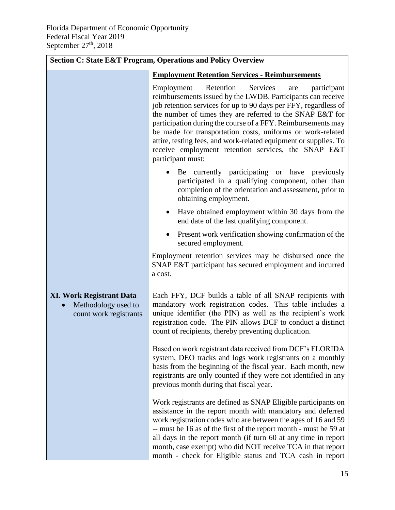| <b>Section C: State E&amp;T Program, Operations and Policy Overview</b>          |                                                                                                                                                                                                                                                                                                                                                                                                                                                                                                                                                                                                                                                                                                                                  |  |  |  |  |  |
|----------------------------------------------------------------------------------|----------------------------------------------------------------------------------------------------------------------------------------------------------------------------------------------------------------------------------------------------------------------------------------------------------------------------------------------------------------------------------------------------------------------------------------------------------------------------------------------------------------------------------------------------------------------------------------------------------------------------------------------------------------------------------------------------------------------------------|--|--|--|--|--|
|                                                                                  | <b>Employment Retention Services - Reimbursements</b>                                                                                                                                                                                                                                                                                                                                                                                                                                                                                                                                                                                                                                                                            |  |  |  |  |  |
|                                                                                  | Retention<br>Services<br>Employment<br>participant<br>are<br>reimbursements issued by the LWDB. Participants can receive<br>job retention services for up to 90 days per FFY, regardless of<br>the number of times they are referred to the SNAP E&T for<br>participation during the course of a FFY. Reimbursements may<br>be made for transportation costs, uniforms or work-related<br>attire, testing fees, and work-related equipment or supplies. To<br>receive employment retention services, the SNAP E&T<br>participant must:<br>Be currently participating or have previously<br>participated in a qualifying component, other than<br>completion of the orientation and assessment, prior to<br>obtaining employment. |  |  |  |  |  |
|                                                                                  |                                                                                                                                                                                                                                                                                                                                                                                                                                                                                                                                                                                                                                                                                                                                  |  |  |  |  |  |
|                                                                                  | Have obtained employment within 30 days from the<br>٠<br>end date of the last qualifying component.                                                                                                                                                                                                                                                                                                                                                                                                                                                                                                                                                                                                                              |  |  |  |  |  |
|                                                                                  | Present work verification showing confirmation of the<br>secured employment.                                                                                                                                                                                                                                                                                                                                                                                                                                                                                                                                                                                                                                                     |  |  |  |  |  |
|                                                                                  | Employment retention services may be disbursed once the<br>SNAP E&T participant has secured employment and incurred<br>a cost.                                                                                                                                                                                                                                                                                                                                                                                                                                                                                                                                                                                                   |  |  |  |  |  |
| <b>XI. Work Registrant Data</b><br>Methodology used to<br>count work registrants | Each FFY, DCF builds a table of all SNAP recipients with<br>mandatory work registration codes. This table includes a<br>unique identifier (the PIN) as well as the recipient's work<br>registration code. The PIN allows DCF to conduct a distinct<br>count of recipients, thereby preventing duplication.                                                                                                                                                                                                                                                                                                                                                                                                                       |  |  |  |  |  |
|                                                                                  | Based on work registrant data received from DCF's FLORIDA<br>system, DEO tracks and logs work registrants on a monthly<br>basis from the beginning of the fiscal year. Each month, new<br>registrants are only counted if they were not identified in any<br>previous month during that fiscal year.                                                                                                                                                                                                                                                                                                                                                                                                                             |  |  |  |  |  |
|                                                                                  | Work registrants are defined as SNAP Eligible participants on<br>assistance in the report month with mandatory and deferred<br>work registration codes who are between the ages of 16 and 59<br>-- must be 16 as of the first of the report month - must be 59 at<br>all days in the report month (if turn 60 at any time in report<br>month, case exempt) who did NOT receive TCA in that report<br>month - check for Eligible status and TCA cash in report                                                                                                                                                                                                                                                                    |  |  |  |  |  |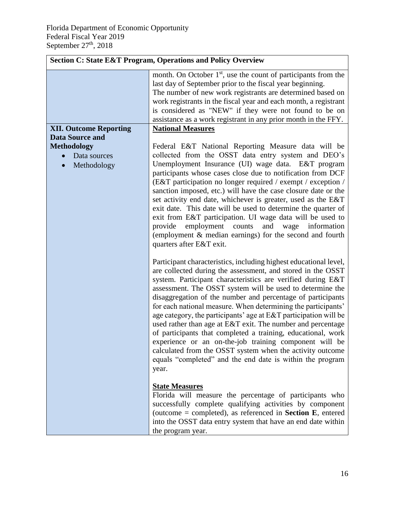|                               | <b>Section C: State E&amp;T Program, Operations and Policy Overview</b>                                                                                                                                                                                                                                                                                                                                                                                                                                                                                                                                                                                                                                                                                                                         |
|-------------------------------|-------------------------------------------------------------------------------------------------------------------------------------------------------------------------------------------------------------------------------------------------------------------------------------------------------------------------------------------------------------------------------------------------------------------------------------------------------------------------------------------------------------------------------------------------------------------------------------------------------------------------------------------------------------------------------------------------------------------------------------------------------------------------------------------------|
|                               | month. On October $1st$ , use the count of participants from the<br>last day of September prior to the fiscal year beginning.<br>The number of new work registrants are determined based on<br>work registrants in the fiscal year and each month, a registrant<br>is considered as "NEW" if they were not found to be on<br>assistance as a work registrant in any prior month in the FFY.                                                                                                                                                                                                                                                                                                                                                                                                     |
| <b>XII. Outcome Reporting</b> | <b>National Measures</b>                                                                                                                                                                                                                                                                                                                                                                                                                                                                                                                                                                                                                                                                                                                                                                        |
| <b>Data Source and</b>        |                                                                                                                                                                                                                                                                                                                                                                                                                                                                                                                                                                                                                                                                                                                                                                                                 |
| <b>Methodology</b>            | Federal E&T National Reporting Measure data will be                                                                                                                                                                                                                                                                                                                                                                                                                                                                                                                                                                                                                                                                                                                                             |
| Data sources<br>$\bullet$     | collected from the OSST data entry system and DEO's<br>Unemployment Insurance (UI) wage data. E&T program                                                                                                                                                                                                                                                                                                                                                                                                                                                                                                                                                                                                                                                                                       |
| Methodology                   | participants whose cases close due to notification from DCF<br>(E&T participation no longer required / exempt / exception /<br>sanction imposed, etc.) will have the case closure date or the<br>set activity end date, whichever is greater, used as the E&T<br>exit date. This date will be used to determine the quarter of<br>exit from E&T participation. UI wage data will be used to<br>employment<br>and<br>information<br>provide<br>counts<br>wage<br>(employment & median earnings) for the second and fourth<br>quarters after E&T exit.                                                                                                                                                                                                                                            |
|                               | Participant characteristics, including highest educational level,<br>are collected during the assessment, and stored in the OSST<br>system. Participant characteristics are verified during E&T<br>assessment. The OSST system will be used to determine the<br>disaggregation of the number and percentage of participants<br>for each national measure. When determining the participants'<br>age category, the participants' age at $E\&T$ participation will be<br>used rather than age at E&T exit. The number and percentage<br>of participants that completed a training, educational, work<br>experience or an on-the-job training component will be<br>calculated from the OSST system when the activity outcome<br>equals "completed" and the end date is within the program<br>year. |
|                               | <b>State Measures</b><br>Florida will measure the percentage of participants who<br>successfully complete qualifying activities by component<br>(outcome = completed), as referenced in <b>Section E</b> , entered<br>into the OSST data entry system that have an end date within<br>the program year.                                                                                                                                                                                                                                                                                                                                                                                                                                                                                         |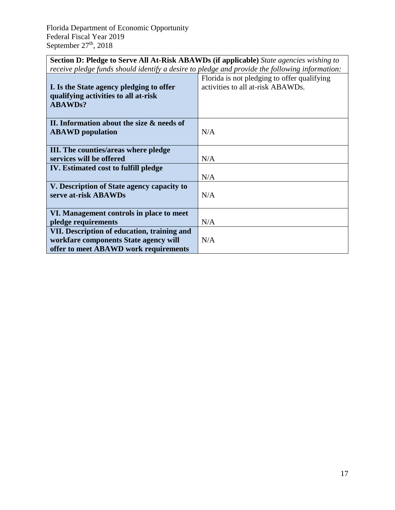<span id="page-17-0"></span>

| <b>Section D: Pledge to Serve All At-Risk ABAWDs (if applicable)</b> State agencies wishing to |                                             |  |  |  |
|------------------------------------------------------------------------------------------------|---------------------------------------------|--|--|--|
| receive pledge funds should identify a desire to pledge and provide the following information: |                                             |  |  |  |
|                                                                                                | Florida is not pledging to offer qualifying |  |  |  |
| I Is the Chats case or plade in the offer                                                      |                                             |  |  |  |

<span id="page-17-1"></span>

| I. Is the State agency pledging to offer<br>qualifying activities to all at-risk<br><b>ABAWDs?</b> | activities to all at-risk ABAWDs. |
|----------------------------------------------------------------------------------------------------|-----------------------------------|
| II. Information about the size & needs of                                                          |                                   |
| <b>ABAWD</b> population                                                                            | N/A                               |
| III. The counties/areas where pledge                                                               |                                   |
| services will be offered                                                                           | N/A                               |
| <b>IV.</b> Estimated cost to fulfill pledge                                                        |                                   |
|                                                                                                    | N/A                               |
| V. Description of State agency capacity to                                                         |                                   |
| serve at-risk ABAWDs                                                                               | N/A                               |
|                                                                                                    |                                   |
| VI. Management controls in place to meet                                                           |                                   |
| pledge requirements                                                                                | N/A                               |
| VII. Description of education, training and                                                        |                                   |
| workfare components State agency will                                                              | N/A                               |
| offer to meet ABAWD work requirements                                                              |                                   |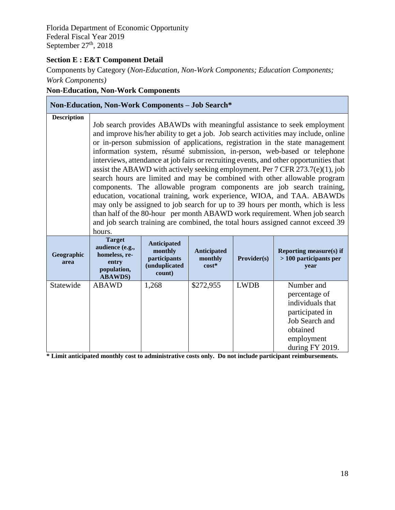#### **Section E : E&T Component Detail**

Components by Category (*Non-Education, Non-Work Components; Education Components; Work Components)*

#### **Non-Education, Non-Work Components**

| <b>Non-Education, Non-Work Components - Job Search*</b> |                                                                                              |                                                                   |                                          |             |                                                                                                                                                                                                                                                                                                                                                                                                                                                                                                                                                                                                                                                                                                                                                                                                                                                                                                                                                                                                 |
|---------------------------------------------------------|----------------------------------------------------------------------------------------------|-------------------------------------------------------------------|------------------------------------------|-------------|-------------------------------------------------------------------------------------------------------------------------------------------------------------------------------------------------------------------------------------------------------------------------------------------------------------------------------------------------------------------------------------------------------------------------------------------------------------------------------------------------------------------------------------------------------------------------------------------------------------------------------------------------------------------------------------------------------------------------------------------------------------------------------------------------------------------------------------------------------------------------------------------------------------------------------------------------------------------------------------------------|
| <b>Description</b>                                      | hours.                                                                                       |                                                                   |                                          |             | Job search provides ABAWDs with meaningful assistance to seek employment<br>and improve his/her ability to get a job. Job search activities may include, online<br>or in-person submission of applications, registration in the state management<br>information system, résumé submission, in-person, web-based or telephone<br>interviews, attendance at job fairs or recruiting events, and other opportunities that<br>assist the ABAWD with actively seeking employment. Per $7$ CFR $273.7(e)(1)$ , job<br>search hours are limited and may be combined with other allowable program<br>components. The allowable program components are job search training,<br>education, vocational training, work experience, WIOA, and TAA. ABAWDs<br>may only be assigned to job search for up to 39 hours per month, which is less<br>than half of the 80-hour per month ABAWD work requirement. When job search<br>and job search training are combined, the total hours assigned cannot exceed 39 |
| Geographic<br>area                                      | <b>Target</b><br>audience (e.g.,<br>homeless, re-<br>entry<br>population,<br><b>ABAWDS</b> ) | Anticipated<br>monthly<br>participants<br>(unduplicated<br>count) | <b>Anticipated</b><br>monthly<br>$cost*$ | Provider(s) | <b>Reporting measure(s) if</b><br>$>100$ participants per<br>year                                                                                                                                                                                                                                                                                                                                                                                                                                                                                                                                                                                                                                                                                                                                                                                                                                                                                                                               |
| Statewide                                               | <b>ABAWD</b>                                                                                 | 1,268                                                             | \$272,955                                | <b>LWDB</b> | Number and<br>percentage of<br>individuals that<br>participated in<br>Job Search and<br>obtained<br>employment<br>during FY 2019.                                                                                                                                                                                                                                                                                                                                                                                                                                                                                                                                                                                                                                                                                                                                                                                                                                                               |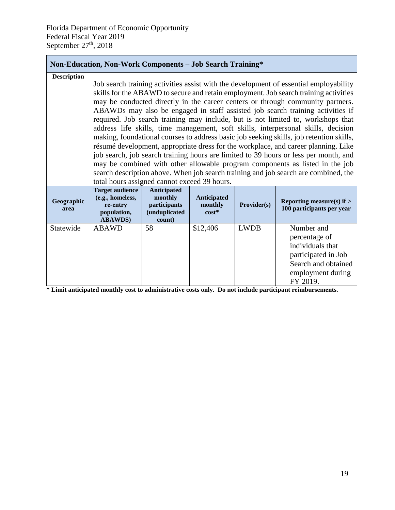#### **Non-Education, Non-Work Components – Job Search Training\***

| <b>Description</b> | total hours assigned cannot exceed 39 hours.                                             |                                                                                 |                                          |             | Job search training activities assist with the development of essential employability<br>skills for the ABAWD to secure and retain employment. Job search training activities<br>may be conducted directly in the career centers or through community partners.<br>ABAWDs may also be engaged in staff assisted job search training activities if<br>required. Job search training may include, but is not limited to, workshops that<br>address life skills, time management, soft skills, interpersonal skills, decision<br>making, foundational courses to address basic job seeking skills, job retention skills,<br>résumé development, appropriate dress for the workplace, and career planning. Like<br>job search, job search training hours are limited to 39 hours or less per month, and<br>may be combined with other allowable program components as listed in the job<br>search description above. When job search training and job search are combined, the |
|--------------------|------------------------------------------------------------------------------------------|---------------------------------------------------------------------------------|------------------------------------------|-------------|----------------------------------------------------------------------------------------------------------------------------------------------------------------------------------------------------------------------------------------------------------------------------------------------------------------------------------------------------------------------------------------------------------------------------------------------------------------------------------------------------------------------------------------------------------------------------------------------------------------------------------------------------------------------------------------------------------------------------------------------------------------------------------------------------------------------------------------------------------------------------------------------------------------------------------------------------------------------------|
| Geographic<br>area | <b>Target audience</b><br>(e.g., homeless,<br>re-entry<br>population,<br><b>ABAWDS</b> ) | <b>Anticipated</b><br>monthly<br>participants<br><i>(unduplicated</i><br>count) | <b>Anticipated</b><br>monthly<br>$cost*$ | Provider(s) | Reporting measure(s) if $>$<br>100 participants per year                                                                                                                                                                                                                                                                                                                                                                                                                                                                                                                                                                                                                                                                                                                                                                                                                                                                                                                   |
| Statewide          | <b>ABAWD</b>                                                                             | 58                                                                              | \$12,406                                 | <b>LWDB</b> | Number and<br>percentage of<br>individuals that<br>participated in Job<br>Search and obtained<br>employment during<br>FY 2019.                                                                                                                                                                                                                                                                                                                                                                                                                                                                                                                                                                                                                                                                                                                                                                                                                                             |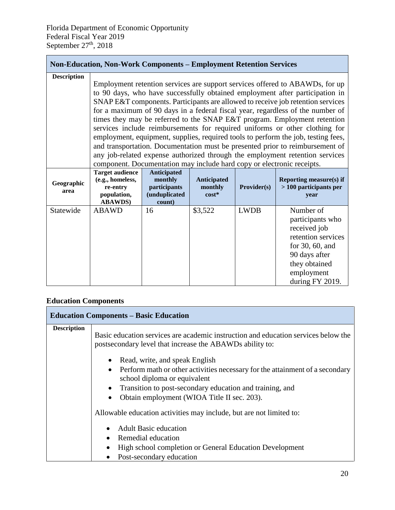#### **Non-Education, Non-Work Components – Employment Retention Services**

| <b>Description</b> | Employment retention services are support services offered to ABAWDs, for up<br>to 90 days, who have successfully obtained employment after participation in<br>SNAP E&T components. Participants are allowed to receive job retention services<br>for a maximum of 90 days in a federal fiscal year, regardless of the number of<br>times they may be referred to the SNAP E&T program. Employment retention<br>services include reimbursements for required uniforms or other clothing for<br>employment, equipment, supplies, required tools to perform the job, testing fees,<br>and transportation. Documentation must be presented prior to reimbursement of |                                                                          |                                   |             |                                                                                                                                                              |  |
|--------------------|--------------------------------------------------------------------------------------------------------------------------------------------------------------------------------------------------------------------------------------------------------------------------------------------------------------------------------------------------------------------------------------------------------------------------------------------------------------------------------------------------------------------------------------------------------------------------------------------------------------------------------------------------------------------|--------------------------------------------------------------------------|-----------------------------------|-------------|--------------------------------------------------------------------------------------------------------------------------------------------------------------|--|
|                    | component. Documentation may include hard copy or electronic receipts.                                                                                                                                                                                                                                                                                                                                                                                                                                                                                                                                                                                             |                                                                          |                                   |             | any job-related expense authorized through the employment retention services                                                                                 |  |
| Geographic<br>area | <b>Target audience</b><br>(e.g., homeless,<br>re-entry<br>population,<br><b>ABAWDS</b> )                                                                                                                                                                                                                                                                                                                                                                                                                                                                                                                                                                           | <b>Anticipated</b><br>monthly<br>participants<br>(unduplicated<br>count) | Anticipated<br>monthly<br>$cost*$ | Provider(s) | <b>Reporting measure(s) if</b><br>$>100$ participants per<br>year                                                                                            |  |
| Statewide          | <b>ABAWD</b>                                                                                                                                                                                                                                                                                                                                                                                                                                                                                                                                                                                                                                                       | 16                                                                       | \$3,522                           | <b>LWDB</b> | Number of<br>participants who<br>received job<br>retention services<br>for $30, 60$ , and<br>90 days after<br>they obtained<br>employment<br>during FY 2019. |  |

#### **Education Components**

|                    | <b>Education Components – Basic Education</b>                                                                                                  |
|--------------------|------------------------------------------------------------------------------------------------------------------------------------------------|
| <b>Description</b> | Basic education services are academic instruction and education services below the<br>postsecondary level that increase the ABAWDs ability to: |
|                    | • Read, write, and speak English                                                                                                               |
|                    | • Perform math or other activities necessary for the attainment of a secondary<br>school diploma or equivalent                                 |
|                    | Transition to post-secondary education and training, and<br>$\bullet$                                                                          |
|                    | Obtain employment (WIOA Title II sec. 203).<br>$\bullet$                                                                                       |
|                    | Allowable education activities may include, but are not limited to:                                                                            |
|                    | <b>Adult Basic education</b>                                                                                                                   |
|                    | Remedial education<br>$\bullet$                                                                                                                |
|                    | High school completion or General Education Development                                                                                        |
|                    | Post-secondary education                                                                                                                       |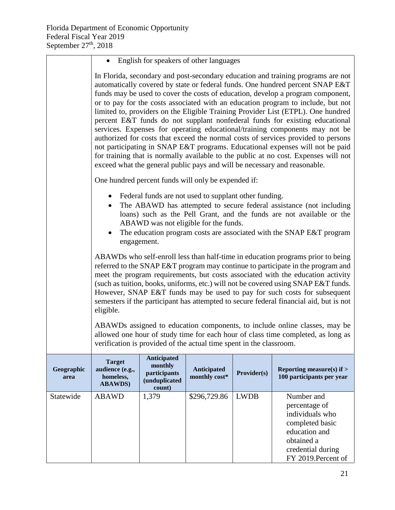|                    | English for speakers of other languages                                                                                                                                                                                                                                                                                                                                                                                                                                                                                                                                                                                                                                                                                                                                                                                                                                                                                              |             |                                                                                                  |             |                                                                                                                                                                                                                      |  |
|--------------------|--------------------------------------------------------------------------------------------------------------------------------------------------------------------------------------------------------------------------------------------------------------------------------------------------------------------------------------------------------------------------------------------------------------------------------------------------------------------------------------------------------------------------------------------------------------------------------------------------------------------------------------------------------------------------------------------------------------------------------------------------------------------------------------------------------------------------------------------------------------------------------------------------------------------------------------|-------------|--------------------------------------------------------------------------------------------------|-------------|----------------------------------------------------------------------------------------------------------------------------------------------------------------------------------------------------------------------|--|
|                    | In Florida, secondary and post-secondary education and training programs are not<br>automatically covered by state or federal funds. One hundred percent SNAP E&T<br>funds may be used to cover the costs of education, develop a program component,<br>or to pay for the costs associated with an education program to include, but not<br>limited to, providers on the Eligible Training Provider List (ETPL). One hundred<br>percent E&T funds do not supplant nonfederal funds for existing educational<br>services. Expenses for operating educational/training components may not be<br>authorized for costs that exceed the normal costs of services provided to persons<br>not participating in SNAP E&T programs. Educational expenses will not be paid<br>for training that is normally available to the public at no cost. Expenses will not<br>exceed what the general public pays and will be necessary and reasonable. |             |                                                                                                  |             |                                                                                                                                                                                                                      |  |
|                    |                                                                                                                                                                                                                                                                                                                                                                                                                                                                                                                                                                                                                                                                                                                                                                                                                                                                                                                                      |             | One hundred percent funds will only be expended if:                                              |             |                                                                                                                                                                                                                      |  |
|                    |                                                                                                                                                                                                                                                                                                                                                                                                                                                                                                                                                                                                                                                                                                                                                                                                                                                                                                                                      | engagement. | • Federal funds are not used to supplant other funding.<br>ABAWD was not eligible for the funds. |             | The ABAWD has attempted to secure federal assistance (not including<br>loans) such as the Pell Grant, and the funds are not available or the<br>The education program costs are associated with the SNAP E&T program |  |
|                    | ABAWDs who self-enroll less than half-time in education programs prior to being<br>referred to the SNAP E&T program may continue to participate in the program and<br>meet the program requirements, but costs associated with the education activity<br>(such as tuition, books, uniforms, etc.) will not be covered using SNAP E&T funds.<br>However, SNAP E&T funds may be used to pay for such costs for subsequent<br>semesters if the participant has attempted to secure federal financial aid, but is not<br>eligible.                                                                                                                                                                                                                                                                                                                                                                                                       |             |                                                                                                  |             |                                                                                                                                                                                                                      |  |
|                    | ABAWDs assigned to education components, to include online classes, may be<br>allowed one hour of study time for each hour of class time completed, as long as<br>verification is provided of the actual time spent in the classroom.                                                                                                                                                                                                                                                                                                                                                                                                                                                                                                                                                                                                                                                                                                |             |                                                                                                  |             |                                                                                                                                                                                                                      |  |
| Geographic<br>area | Anticipated<br><b>Target</b><br>monthly<br>audience (e.g.,<br>Reporting measure(s) if $>$<br>Anticipated<br>Provider(s)<br>participants<br>monthly cost*<br>100 participants per year<br>homeless,<br>(unduplicated<br><b>ABAWDS</b> )<br>count)                                                                                                                                                                                                                                                                                                                                                                                                                                                                                                                                                                                                                                                                                     |             |                                                                                                  |             |                                                                                                                                                                                                                      |  |
| Statewide          | <b>ABAWD</b>                                                                                                                                                                                                                                                                                                                                                                                                                                                                                                                                                                                                                                                                                                                                                                                                                                                                                                                         | 1,379       | \$296,729.86                                                                                     | <b>LWDB</b> | Number and<br>percentage of<br>individuals who<br>completed basic<br>education and<br>obtained a<br>credential during<br>FY 2019. Percent of                                                                         |  |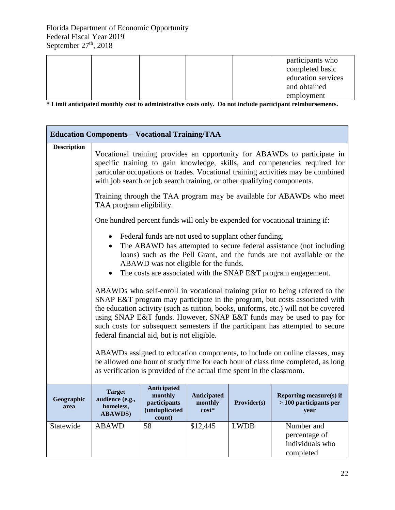|  |  | participants who   |
|--|--|--------------------|
|  |  | completed basic    |
|  |  | education services |
|  |  | and obtained       |
|  |  | employment         |

|                    | <b>Education Components - Vocational Training/TAA</b>                                                                                                                                                                                                                                                                                                                                                                                                                                                                                                                                                                                                                                                                                                                          |                                                                          |                                   |             |                                                                             |  |  |  |
|--------------------|--------------------------------------------------------------------------------------------------------------------------------------------------------------------------------------------------------------------------------------------------------------------------------------------------------------------------------------------------------------------------------------------------------------------------------------------------------------------------------------------------------------------------------------------------------------------------------------------------------------------------------------------------------------------------------------------------------------------------------------------------------------------------------|--------------------------------------------------------------------------|-----------------------------------|-------------|-----------------------------------------------------------------------------|--|--|--|
| <b>Description</b> | Vocational training provides an opportunity for ABAWDs to participate in<br>specific training to gain knowledge, skills, and competencies required for<br>particular occupations or trades. Vocational training activities may be combined<br>with job search or job search training, or other qualifying components.                                                                                                                                                                                                                                                                                                                                                                                                                                                          |                                                                          |                                   |             |                                                                             |  |  |  |
|                    | Training through the TAA program may be available for ABAWDs who meet<br>TAA program eligibility.                                                                                                                                                                                                                                                                                                                                                                                                                                                                                                                                                                                                                                                                              |                                                                          |                                   |             |                                                                             |  |  |  |
|                    |                                                                                                                                                                                                                                                                                                                                                                                                                                                                                                                                                                                                                                                                                                                                                                                |                                                                          |                                   |             | One hundred percent funds will only be expended for vocational training if: |  |  |  |
|                    | Federal funds are not used to supplant other funding.<br>The ABAWD has attempted to secure federal assistance (not including<br>loans) such as the Pell Grant, and the funds are not available or the<br>ABAWD was not eligible for the funds.<br>The costs are associated with the SNAP E&T program engagement.<br>ABAWDs who self-enroll in vocational training prior to being referred to the<br>SNAP E&T program may participate in the program, but costs associated with<br>the education activity (such as tuition, books, uniforms, etc.) will not be covered<br>using SNAP E&T funds. However, SNAP E&T funds may be used to pay for<br>such costs for subsequent semesters if the participant has attempted to secure<br>federal financial aid, but is not eligible. |                                                                          |                                   |             |                                                                             |  |  |  |
|                    | ABAWDs assigned to education components, to include on online classes, may<br>be allowed one hour of study time for each hour of class time completed, as long<br>as verification is provided of the actual time spent in the classroom.                                                                                                                                                                                                                                                                                                                                                                                                                                                                                                                                       |                                                                          |                                   |             |                                                                             |  |  |  |
| Geographic<br>area | <b>Target</b><br>audience (e.g.,<br>homeless,<br><b>ABAWDS</b> )                                                                                                                                                                                                                                                                                                                                                                                                                                                                                                                                                                                                                                                                                                               | <b>Anticipated</b><br>monthly<br>participants<br>(unduplicated<br>count) | Anticipated<br>monthly<br>$cost*$ | Provider(s) | <b>Reporting measure(s) if</b><br>$>100$ participants per<br>year           |  |  |  |
| Statewide          | <b>ABAWD</b>                                                                                                                                                                                                                                                                                                                                                                                                                                                                                                                                                                                                                                                                                                                                                                   | 58                                                                       | \$12,445                          | <b>LWDB</b> | Number and<br>percentage of<br>individuals who<br>completed                 |  |  |  |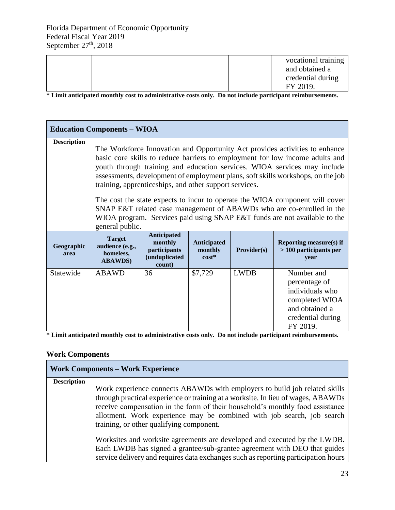|  |  | vocational training |
|--|--|---------------------|
|  |  | and obtained a      |
|  |  | credential during   |
|  |  | FY 2019.            |

**\* Limit anticipated monthly cost to administrative costs only. Do not include participant reimbursements.**

|                    | <b>Education Components – WIOA</b>                                                                                                                                                                                                                                                                                                                                                                                                                                                                                                                                                                                                            |                                                                          |                                   |             |                                                                                                                     |  |
|--------------------|-----------------------------------------------------------------------------------------------------------------------------------------------------------------------------------------------------------------------------------------------------------------------------------------------------------------------------------------------------------------------------------------------------------------------------------------------------------------------------------------------------------------------------------------------------------------------------------------------------------------------------------------------|--------------------------------------------------------------------------|-----------------------------------|-------------|---------------------------------------------------------------------------------------------------------------------|--|
| <b>Description</b> | The Workforce Innovation and Opportunity Act provides activities to enhance<br>basic core skills to reduce barriers to employment for low income adults and<br>youth through training and education services. WIOA services may include<br>assessments, development of employment plans, soft skills workshops, on the job<br>training, apprenticeships, and other support services.<br>The cost the state expects to incur to operate the WIOA component will cover<br>SNAP E&T related case management of ABAWDs who are co-enrolled in the<br>WIOA program. Services paid using SNAP E&T funds are not available to the<br>general public. |                                                                          |                                   |             |                                                                                                                     |  |
| Geographic<br>area | <b>Target</b><br>audience (e.g.,<br>homeless,<br><b>ABAWDS</b> )                                                                                                                                                                                                                                                                                                                                                                                                                                                                                                                                                                              | <b>Anticipated</b><br>monthly<br>participants<br>(unduplicated<br>count) | Anticipated<br>monthly<br>$cost*$ | Provider(s) | <b>Reporting measure(s) if</b><br>$>100$ participants per<br>vear                                                   |  |
| Statewide          | ABAWD                                                                                                                                                                                                                                                                                                                                                                                                                                                                                                                                                                                                                                         | 36                                                                       | \$7,729                           | <b>LWDB</b> | Number and<br>percentage of<br>individuals who<br>completed WIOA<br>and obtained a<br>credential during<br>FY 2019. |  |

**\* Limit anticipated monthly cost to administrative costs only. Do not include participant reimbursements.**

#### **Work Components**

| <b>Work Components - Work Experience</b> |                                                                                                                                                                                                                                                                                                                                                                       |  |  |  |  |  |
|------------------------------------------|-----------------------------------------------------------------------------------------------------------------------------------------------------------------------------------------------------------------------------------------------------------------------------------------------------------------------------------------------------------------------|--|--|--|--|--|
| <b>Description</b>                       | Work experience connects ABAWDs with employers to build job related skills<br>through practical experience or training at a worksite. In lieu of wages, ABAWDs<br>receive compensation in the form of their household's monthly food assistance<br>allotment. Work experience may be combined with job search, job search<br>training, or other qualifying component. |  |  |  |  |  |
|                                          | Worksites and worksite agreements are developed and executed by the LWDB.<br>Each LWDB has signed a grantee/sub-grantee agreement with DEO that guides<br>service delivery and requires data exchanges such as reporting participation hours                                                                                                                          |  |  |  |  |  |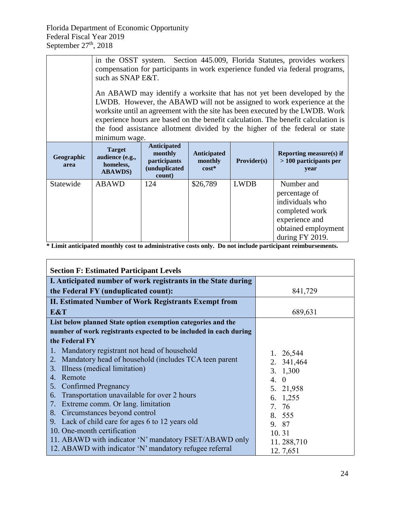|                    | in the OSST system. Section 445.009, Florida Statutes, provides workers<br>compensation for participants in work experience funded via federal programs,<br>such as SNAP E&T.<br>An ABAWD may identify a worksite that has not yet been developed by the<br>LWDB. However, the ABAWD will not be assigned to work experience at the<br>worksite until an agreement with the site has been executed by the LWDB. Work<br>experience hours are based on the benefit calculation. The benefit calculation is<br>the food assistance allotment divided by the higher of the federal or state |                                                                                  |                                          |                    |                                                                                                                              |  |
|--------------------|------------------------------------------------------------------------------------------------------------------------------------------------------------------------------------------------------------------------------------------------------------------------------------------------------------------------------------------------------------------------------------------------------------------------------------------------------------------------------------------------------------------------------------------------------------------------------------------|----------------------------------------------------------------------------------|------------------------------------------|--------------------|------------------------------------------------------------------------------------------------------------------------------|--|
| Geographic<br>area | minimum wage.<br><b>Target</b><br>audience (e.g.,<br>homeless,<br><b>ABAWDS</b> )                                                                                                                                                                                                                                                                                                                                                                                                                                                                                                        | <b>Anticipated</b><br>monthly<br>participants<br><i>(unduplicated)</i><br>count) | <b>Anticipated</b><br>monthly<br>$cost*$ | <b>Provider(s)</b> | Reporting measure(s) if<br>> 100 participants per<br>year                                                                    |  |
| Statewide          | <b>ABAWD</b>                                                                                                                                                                                                                                                                                                                                                                                                                                                                                                                                                                             | 124                                                                              | \$26,789                                 | <b>LWDB</b>        | Number and<br>percentage of<br>individuals who<br>completed work<br>experience and<br>obtained employment<br>during FY 2019. |  |

<span id="page-24-0"></span>

| <b>Section F: Estimated Participant Levels</b>                    |                |  |  |  |  |
|-------------------------------------------------------------------|----------------|--|--|--|--|
| I. Anticipated number of work registrants in the State during     |                |  |  |  |  |
| the Federal FY (unduplicated count):                              | 841,729        |  |  |  |  |
| <b>II. Estimated Number of Work Registrants Exempt from</b>       |                |  |  |  |  |
| E&T                                                               | 689,631        |  |  |  |  |
| List below planned State option exemption categories and the      |                |  |  |  |  |
| number of work registrants expected to be included in each during |                |  |  |  |  |
| the Federal FY                                                    |                |  |  |  |  |
| Mandatory registrant not head of household                        | 1. 26,544      |  |  |  |  |
| Mandatory head of household (includes TCA teen parent<br>2.       | 2. 341,464     |  |  |  |  |
| Illness (medical limitation)<br>3.                                | 3. 1,300       |  |  |  |  |
| Remote<br>4.                                                      | $\Omega$<br>4. |  |  |  |  |
| <b>Confirmed Pregnancy</b><br>5.                                  | 5. 21,958      |  |  |  |  |
| Transportation unavailable for over 2 hours<br>6.                 | 6. 1,255       |  |  |  |  |
| Extreme comm. Or lang. limitation<br>7.                           | 7. 76          |  |  |  |  |
| Circumstances beyond control<br>8.                                | 8. 555         |  |  |  |  |
| Lack of child care for ages 6 to 12 years old<br>9.               | 9. 87          |  |  |  |  |
| 10. One-month certification                                       | 10.31          |  |  |  |  |
| 11. ABAWD with indicator 'N' mandatory FSET/ABAWD only            | 11.288,710     |  |  |  |  |
| 12. ABAWD with indicator 'N' mandatory refugee referral           | 12.7,651       |  |  |  |  |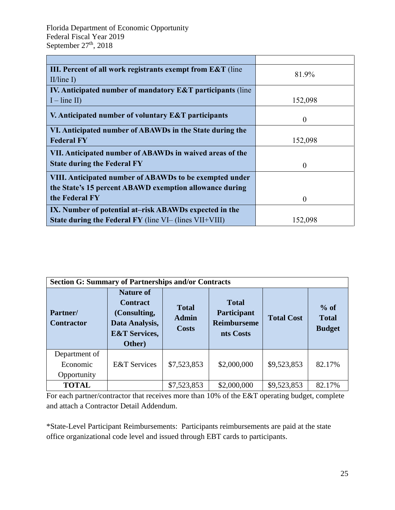$\overline{a}$ 

| 81.9%    |
|----------|
|          |
|          |
| 152,098  |
| $\theta$ |
|          |
| 152,098  |
|          |
| $\theta$ |
|          |
|          |
| $\theta$ |
|          |
| 152,098  |
|          |

<span id="page-25-0"></span>

| <b>Section G: Summary of Partnerships and/or Contracts</b> |                                                                                                             |                                              |                                                                |                   |                                         |
|------------------------------------------------------------|-------------------------------------------------------------------------------------------------------------|----------------------------------------------|----------------------------------------------------------------|-------------------|-----------------------------------------|
| Partner/<br><b>Contractor</b>                              | <b>Nature of</b><br><b>Contract</b><br>(Consulting,<br>Data Analysis,<br><b>E&amp;T Services,</b><br>Other) | <b>Total</b><br><b>Admin</b><br><b>Costs</b> | <b>Total</b><br>Participant<br><b>Reimburseme</b><br>nts Costs | <b>Total Cost</b> | $%$ of<br><b>Total</b><br><b>Budget</b> |
| Department of<br>Economic<br>Opportunity                   | <b>E&amp;T</b> Services                                                                                     | \$7,523,853                                  | \$2,000,000                                                    | \$9,523,853       | 82.17%                                  |
| <b>TOTAL</b>                                               |                                                                                                             | \$7,523,853                                  | \$2,000,000                                                    | \$9,523,853       | 82.17%                                  |

For each partner/contractor that receives more than 10% of the E&T operating budget, complete and attach a Contractor Detail Addendum.

<span id="page-25-1"></span>\*State-Level Participant Reimbursements: Participants reimbursements are paid at the state office organizational code level and issued through EBT cards to participants.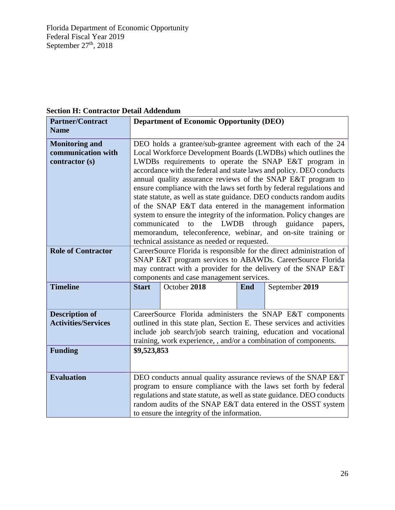| secuoli 11. Contractor Detail Aquendum                        |                                                                                                                                                                                                                                                                                                                                                                                                                                                                                                                                                                                                                                                                                                                                                                                                                    |                                                 |     |                |  |
|---------------------------------------------------------------|--------------------------------------------------------------------------------------------------------------------------------------------------------------------------------------------------------------------------------------------------------------------------------------------------------------------------------------------------------------------------------------------------------------------------------------------------------------------------------------------------------------------------------------------------------------------------------------------------------------------------------------------------------------------------------------------------------------------------------------------------------------------------------------------------------------------|-------------------------------------------------|-----|----------------|--|
| <b>Partner/Contract</b>                                       |                                                                                                                                                                                                                                                                                                                                                                                                                                                                                                                                                                                                                                                                                                                                                                                                                    | <b>Department of Economic Opportunity (DEO)</b> |     |                |  |
| <b>Name</b>                                                   |                                                                                                                                                                                                                                                                                                                                                                                                                                                                                                                                                                                                                                                                                                                                                                                                                    |                                                 |     |                |  |
| <b>Monitoring and</b><br>communication with<br>contractor (s) | DEO holds a grantee/sub-grantee agreement with each of the 24<br>Local Workforce Development Boards (LWDBs) which outlines the<br>LWDBs requirements to operate the SNAP E&T program in<br>accordance with the federal and state laws and policy. DEO conducts<br>annual quality assurance reviews of the SNAP E&T program to<br>ensure compliance with the laws set forth by federal regulations and<br>state statute, as well as state guidance. DEO conducts random audits<br>of the SNAP E&T data entered in the management information<br>system to ensure the integrity of the information. Policy changes are<br>the<br><b>LWDB</b><br>through<br>guidance<br>communicated<br>to<br>papers,<br>memorandum, teleconference, webinar, and on-site training or<br>technical assistance as needed or requested. |                                                 |     |                |  |
| <b>Role of Contractor</b>                                     | CareerSource Florida is responsible for the direct administration of<br>SNAP E&T program services to ABAWDs. CareerSource Florida<br>may contract with a provider for the delivery of the SNAP E&T<br>components and case management services.                                                                                                                                                                                                                                                                                                                                                                                                                                                                                                                                                                     |                                                 |     |                |  |
| <b>Timeline</b>                                               | <b>Start</b>                                                                                                                                                                                                                                                                                                                                                                                                                                                                                                                                                                                                                                                                                                                                                                                                       | October 2018                                    | End | September 2019 |  |
| <b>Description of</b><br><b>Activities/Services</b>           | CareerSource Florida administers the SNAP E&T components<br>outlined in this state plan, Section E. These services and activities<br>include job search/job search training, education and vocational<br>training, work experience, , and/or a combination of components.                                                                                                                                                                                                                                                                                                                                                                                                                                                                                                                                          |                                                 |     |                |  |
| <b>Funding</b>                                                | \$9,523,853                                                                                                                                                                                                                                                                                                                                                                                                                                                                                                                                                                                                                                                                                                                                                                                                        |                                                 |     |                |  |
| <b>Evaluation</b>                                             | DEO conducts annual quality assurance reviews of the SNAP E&T<br>program to ensure compliance with the laws set forth by federal<br>regulations and state statute, as well as state guidance. DEO conducts<br>random audits of the SNAP E&T data entered in the OSST system<br>to ensure the integrity of the information.                                                                                                                                                                                                                                                                                                                                                                                                                                                                                         |                                                 |     |                |  |

#### **Section H: Contractor Detail Addendum**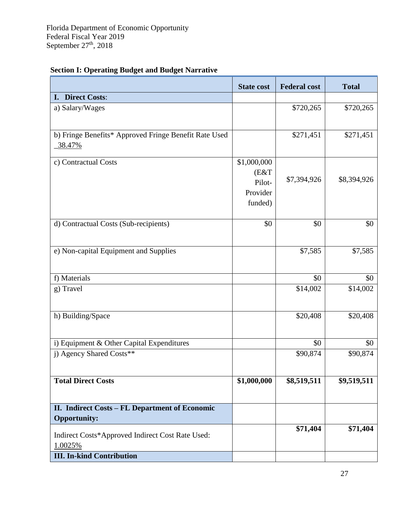|                                                                       | <b>State cost</b>                                    | <b>Federal cost</b> | <b>Total</b> |
|-----------------------------------------------------------------------|------------------------------------------------------|---------------------|--------------|
| I. Direct Costs:                                                      |                                                      |                     |              |
| a) Salary/Wages                                                       |                                                      | \$720,265           | \$720,265    |
| b) Fringe Benefits* Approved Fringe Benefit Rate Used<br>38.47%       |                                                      | \$271,451           | \$271,451    |
| c) Contractual Costs                                                  | \$1,000,000<br>(E&T<br>Pilot-<br>Provider<br>funded) | \$7,394,926         | \$8,394,926  |
| d) Contractual Costs (Sub-recipients)                                 | \$0                                                  | \$0                 | \$0          |
| e) Non-capital Equipment and Supplies                                 |                                                      | \$7,585             | \$7,585      |
| f) Materials                                                          |                                                      | \$0                 | \$0          |
| g) Travel                                                             |                                                      | \$14,002            | \$14,002     |
| h) Building/Space                                                     |                                                      | \$20,408            | \$20,408     |
| i) Equipment & Other Capital Expenditures                             |                                                      | \$0                 | \$0          |
| j) Agency Shared Costs**                                              |                                                      | \$90,874            | \$90,874     |
| <b>Total Direct Costs</b>                                             | \$1,000,000                                          | \$8,519,511         | \$9,519,511  |
| II. Indirect Costs - FL Department of Economic<br><b>Opportunity:</b> |                                                      |                     |              |
| Indirect Costs*Approved Indirect Cost Rate Used:<br>1.0025%           |                                                      | \$71,404            | \$71,404     |
| <b>III.</b> In-kind Contribution                                      |                                                      |                     |              |

### <span id="page-27-0"></span> **Section I: Operating Budget and Budget Narrative**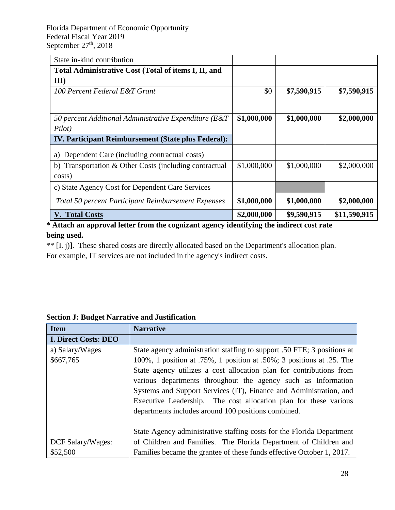| State in-kind contribution                                 |             |             |              |
|------------------------------------------------------------|-------------|-------------|--------------|
| Total Administrative Cost (Total of items I, II, and       |             |             |              |
| III                                                        |             |             |              |
| 100 Percent Federal E&T Grant                              | \$0         | \$7,590,915 | \$7,590,915  |
|                                                            |             |             |              |
| 50 percent Additional Administrative Expenditure (E&T)     | \$1,000,000 | \$1,000,000 | \$2,000,000  |
| Pilot)                                                     |             |             |              |
| <b>IV. Participant Reimbursement (State plus Federal):</b> |             |             |              |
| Dependent Care (including contractual costs)<br>a)         |             |             |              |
| Transportation & Other Costs (including contractual<br>b)  | \$1,000,000 | \$1,000,000 | \$2,000,000  |
| costs)                                                     |             |             |              |
| c) State Agency Cost for Dependent Care Services           |             |             |              |
| <b>Total 50 percent Participant Reimbursement Expenses</b> | \$1,000,000 | \$1,000,000 | \$2,000,000  |
| <b>V. Total Costs</b>                                      | \$2,000,000 | \$9,590,915 | \$11,590,915 |

**\* Attach an approval letter from the cognizant agency identifying the indirect cost rate being used.**

\*\* [I. j)]. These shared costs are directly allocated based on the Department's allocation plan.

For example, IT services are not included in the agency's indirect costs.

| <b>Item</b>                 | <b>Narrative</b>                                                        |
|-----------------------------|-------------------------------------------------------------------------|
| <b>I. Direct Costs: DEO</b> |                                                                         |
| a) Salary/Wages             | State agency administration staffing to support .50 FTE; 3 positions at |
| \$667,765                   | 100%, 1 position at .75%, 1 position at .50%; 3 positions at .25. The   |
|                             | State agency utilizes a cost allocation plan for contributions from     |
|                             | various departments throughout the agency such as Information           |
|                             | Systems and Support Services (IT), Finance and Administration, and      |
|                             | Executive Leadership. The cost allocation plan for these various        |
|                             | departments includes around 100 positions combined.                     |
|                             |                                                                         |
|                             | State Agency administrative staffing costs for the Florida Department   |
| DCF Salary/Wages:           | of Children and Families. The Florida Department of Children and        |
| \$52,500                    | Families became the grantee of these funds effective October 1, 2017.   |

#### <span id="page-28-0"></span>**Section J: Budget Narrative and Justification**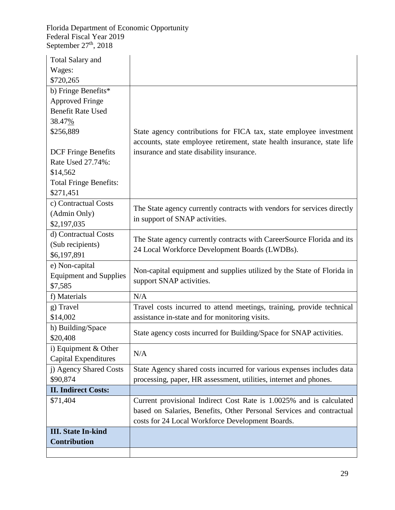| <b>Total Salary and</b>       |                                                                         |
|-------------------------------|-------------------------------------------------------------------------|
| Wages:                        |                                                                         |
| \$720,265                     |                                                                         |
| b) Fringe Benefits*           |                                                                         |
| <b>Approved Fringe</b>        |                                                                         |
| <b>Benefit Rate Used</b>      |                                                                         |
| 38.47%                        |                                                                         |
| \$256,889                     | State agency contributions for FICA tax, state employee investment      |
|                               | accounts, state employee retirement, state health insurance, state life |
| <b>DCF</b> Fringe Benefits    | insurance and state disability insurance.                               |
| Rate Used 27.74%:             |                                                                         |
| \$14,562                      |                                                                         |
| <b>Total Fringe Benefits:</b> |                                                                         |
| \$271,451                     |                                                                         |
| c) Contractual Costs          |                                                                         |
| (Admin Only)                  | The State agency currently contracts with vendors for services directly |
| \$2,197,035                   | in support of SNAP activities.                                          |
| d) Contractual Costs          |                                                                         |
| (Sub recipients)              | The State agency currently contracts with CareerSource Florida and its  |
| \$6,197,891                   | 24 Local Workforce Development Boards (LWDBs).                          |
| e) Non-capital                |                                                                         |
| <b>Equipment and Supplies</b> | Non-capital equipment and supplies utilized by the State of Florida in  |
| \$7,585                       | support SNAP activities.                                                |
| f) Materials                  | N/A                                                                     |
| g) Travel                     | Travel costs incurred to attend meetings, training, provide technical   |
| \$14,002                      | assistance in-state and for monitoring visits.                          |
| h) Building/Space             |                                                                         |
| \$20,408                      | State agency costs incurred for Building/Space for SNAP activities.     |
| i) Equipment $& Other$        |                                                                         |
| <b>Capital Expenditures</b>   | N/A                                                                     |
| j) Agency Shared Costs        | State Agency shared costs incurred for various expenses includes data   |
| \$90,874                      | processing, paper, HR assessment, utilities, internet and phones.       |
| <b>II. Indirect Costs:</b>    |                                                                         |
| \$71,404                      | Current provisional Indirect Cost Rate is 1.0025% and is calculated     |
|                               | based on Salaries, Benefits, Other Personal Services and contractual    |
|                               | costs for 24 Local Workforce Development Boards.                        |
| <b>III.</b> State In-kind     |                                                                         |
| <b>Contribution</b>           |                                                                         |
|                               |                                                                         |
|                               |                                                                         |